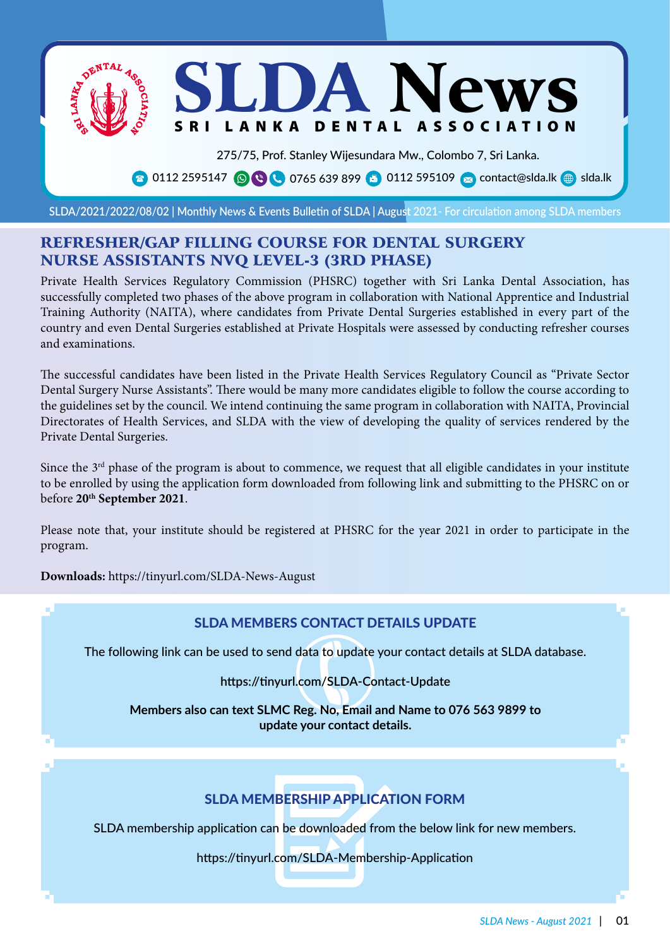JDA New LANKA DENTAL ASSOCIATION

275/75, Prof. Stanley Wijesundara Mw., Colombo 7, Sri Lanka.

**8** 0112 2595147 **OCC** 0765 639 899 **8** 0112 595109 **8** contact@slda.lk **s** slda.lk

**SLDA/2021/2022/08/02 | Monthly News & Events Bulletin of SLDA | August 2021- For circulation among SLDA members**

# REFRESHER/GAP FILLING COURSE FOR DENTAL SURGERY NURSE ASSISTANTS NVQ LEVEL-3 (3RD PHASE)

Private Health Services Regulatory Commission (PHSRC) together with Sri Lanka Dental Association, has successfully completed two phases of the above program in collaboration with National Apprentice and Industrial Training Authority (NAITA), where candidates from Private Dental Surgeries established in every part of the country and even Dental Surgeries established at Private Hospitals were assessed by conducting refresher courses and examinations.

The successful candidates have been listed in the Private Health Services Regulatory Council as "Private Sector Dental Surgery Nurse Assistants". There would be many more candidates eligible to follow the course according to the guidelines set by the council. We intend continuing the same program in collaboration with NAITA, Provincial Directorates of Health Services, and SLDA with the view of developing the quality of services rendered by the Private Dental Surgeries.

Since the  $3<sup>rd</sup>$  phase of the program is about to commence, we request that all eligible candidates in your institute to be enrolled by using the application form downloaded from following link and submitting to the PHSRC on or before **20th September 2021**.

Please note that, your institute should be registered at PHSRC for the year 2021 in order to participate in the program.

**Downloads:** https://tinyurl.com/SLDA-News-August

# SLDA MEMBERS CONTACT DETAILS UPDATE

The following link can be used to send data to update your contact details at SLDA database.

**https://tinyurl.com/SLDA-Contact-Update**

data to update<br>I.com/SLDA-Cor<br>Reg. No, Email a **Members also can text SLMC Reg. No, Email and Name to 076 563 9899 to update your contact details.**

# SLDA MEMBERSHIP APPLICATION FORM

SLDA membership application can be downloaded from the below link for new members.

https://tinyurl.com/SLDA-Membership-Application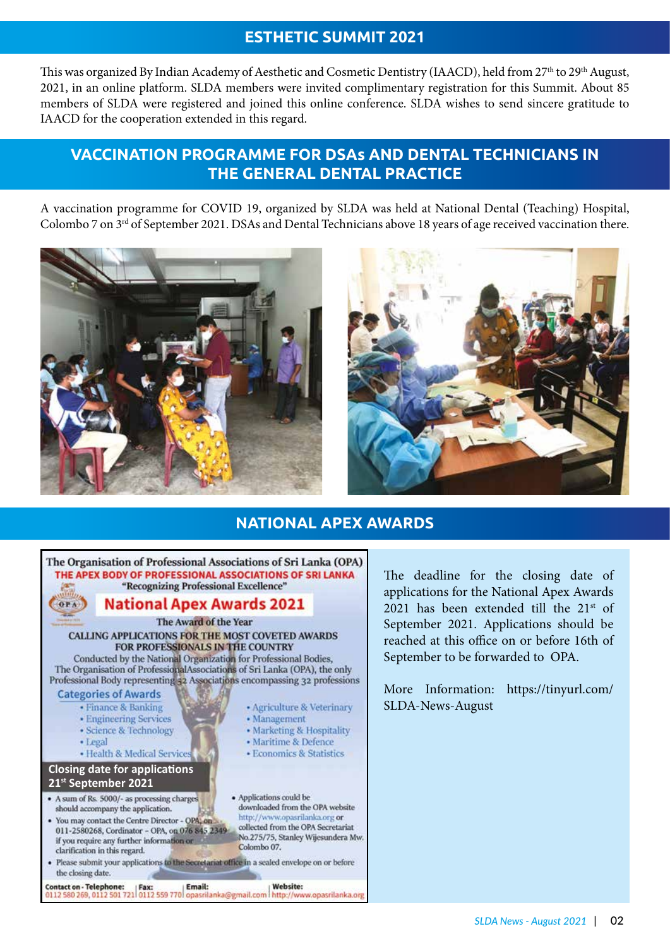# **ESTHETIC SUMMIT 2021**

This was organized By Indian Academy of Aesthetic and Cosmetic Dentistry (IAACD), held from 27<sup>th</sup> to 29<sup>th</sup> August, 2021, in an online platform. SLDA members were invited complimentary registration for this Summit. About 85 members of SLDA were registered and joined this online conference. SLDA wishes to send sincere gratitude to IAACD for the cooperation extended in this regard.

# **VACCINATION PROGRAMME FOR DSAs AND DENTAL TECHNICIANS IN THE GENERAL DENTAL PRACTICE**

A vaccination programme for COVID 19, organized by SLDA was held at National Dental (Teaching) Hospital, Colombo 7 on 3<sup>rd</sup> of September 2021. DSAs and Dental Technicians above 18 years of age received vaccination there.





# **NATIONAL APEX AWARDS**



The deadline for the closing date of applications for the National Apex Awards 2021 has been extended till the  $21<sup>st</sup>$  of September 2021. Applications should be reached at this office on or before 16th of September to be forwarded to OPA.

More Information: https://tinyurl.com/ SLDA-News-August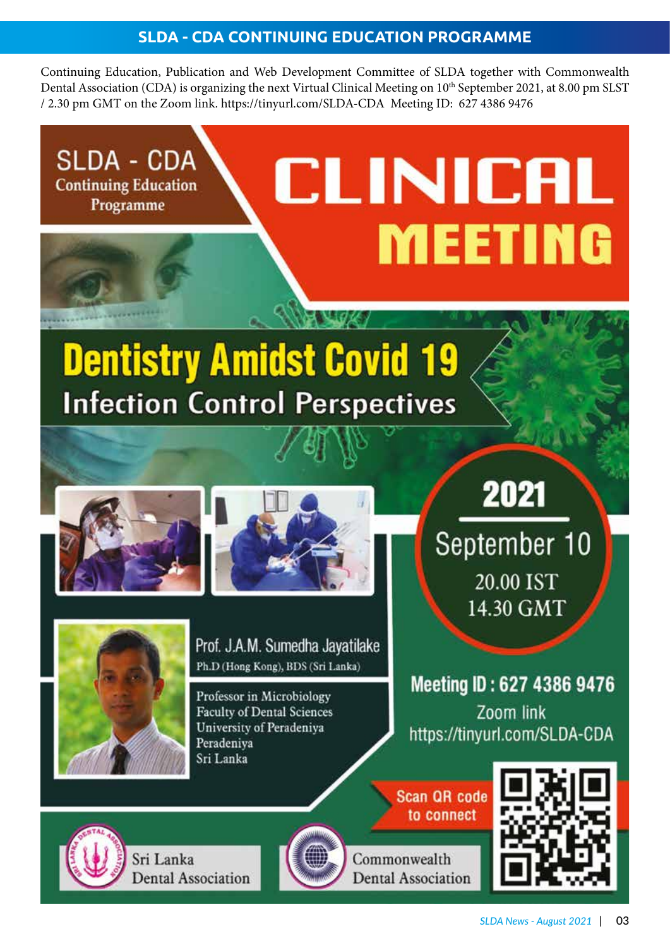# **SLDA - CDA CONTINUING EDUCATION PROGRAMME**

Continuing Education, Publication and Web Development Committee of SLDA together with Commonwealth Dental Association (CDA) is organizing the next Virtual Clinical Meeting on 10<sup>th</sup> September 2021, at 8.00 pm SLST / 2.30 pm GMT on the Zoom link. https://tinyurl.com/SLDA-CDA Meeting ID: 627 4386 9476

CLINICAL

**MEETING** 

**SLDA - CDA Continuing Education** Programme

# **Dentistry Amidst Covid 19 Infection Control Perspectives**







Prof. J.A.M. Sumedha Javatilake Ph.D (Hong Kong), BDS (Sri Lanka)

Professor in Microbiology **Faculty of Dental Sciences** University of Peradeniya Peradeniva Sri Lanka

2021

September 10 20.00 IST 14.30 GMT

Meeting ID: 627 4386 9476 Zoom link https://tinyurl.com/SLDA-CDA

**Scan QR code** to connect





Sri Lanka **Dental Association** 



Commonwealth **Dental Association**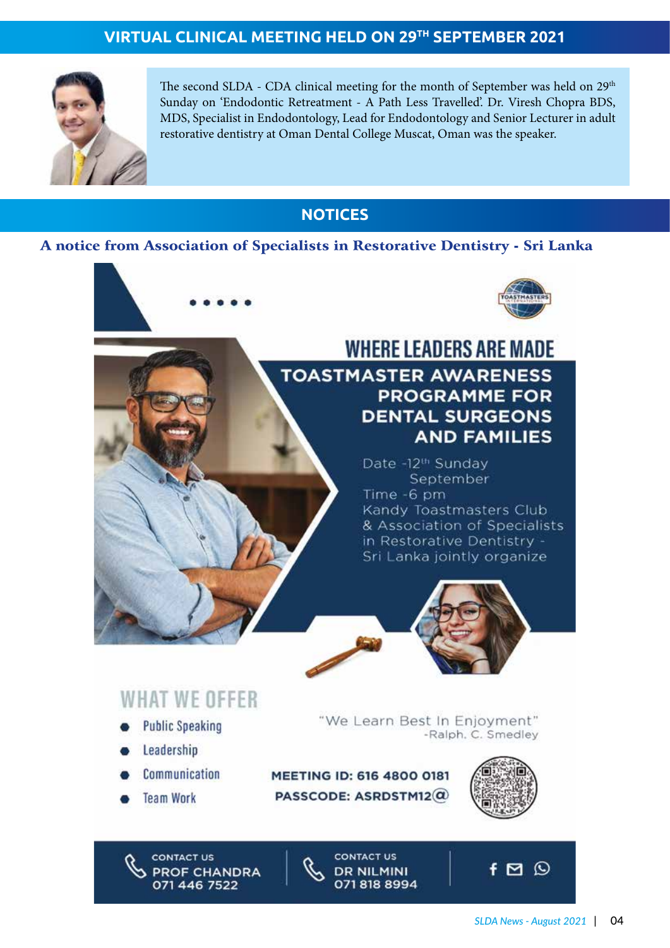# **VIRTUAL CLINICAL MEETING HELD ON 29TH SEPTEMBER 2021**



The second SLDA - CDA clinical meeting for the month of September was held on 29<sup>th</sup> Sunday on 'Endodontic Retreatment - A Path Less Travelled'. Dr. Viresh Chopra BDS, MDS, Specialist in Endodontology, Lead for Endodontology and Senior Lecturer in adult restorative dentistry at Oman Dental College Muscat, Oman was the speaker.

# **NOTICES**

## A notice from Association of Specialists in Restorative Dentistry - Sri Lanka



# **WHERE LEADERS ARE MADE TOASTMASTER AWARENESS PROGRAMME FOR DENTAL SURGEONS AND FAMILIES**

Date -12<sup>th</sup> Sunday September Time -6 pm Kandy Toastmasters Club & Association of Specialists in Restorative Dentistry -Sri Lanka jointly organize



# **WHAT WE OFFER**

- **Public Speaking**
- Leadership
- Communication
- **Team Work**

"We Learn Best In Enjoyment" -Ralph. C. Smedley

MEETING ID: 616 4800 0181 PASSCODE: ASRDSTM12 $@$ 



 $f \boxtimes \odot$ 

**CONTACT US PROF CHANDRA** 071 446 7522

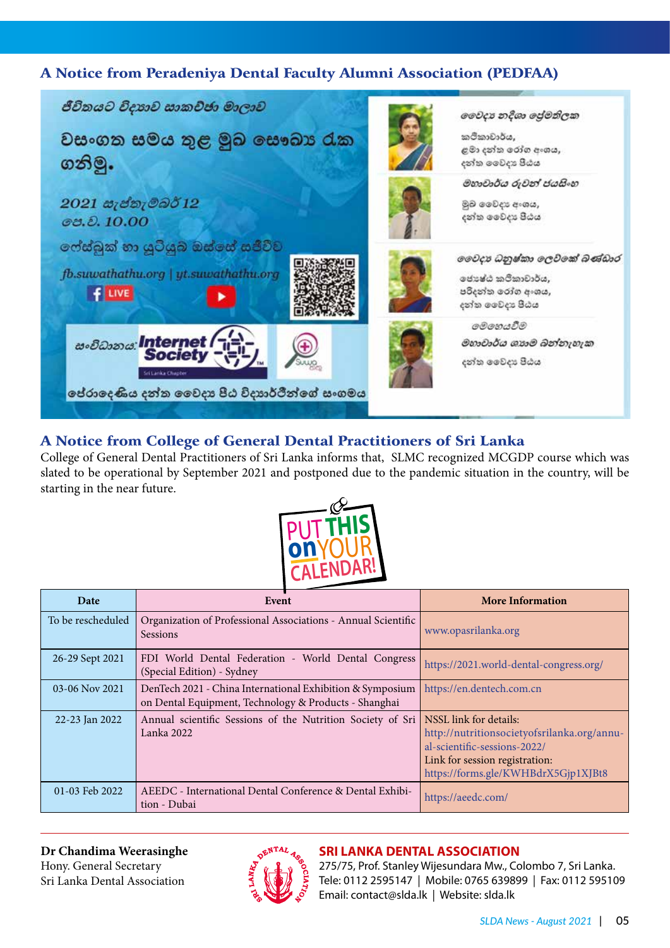# A Notice from Peradeniya Dental Faculty Alumni Association (PEDFAA)



# A Notice from College of General Dental Practitioners of Sri Lanka

College of General Dental Practitioners of Sri Lanka informs that, SLMC recognized MCGDP course which was slated to be operational by September 2021 and postponed due to the pandemic situation in the country, will be starting in the near future.

![](_page_4_Picture_4.jpeg)

| Date              | Event                                                                                                              | <b>More Information</b>                                                                                                                                                        |
|-------------------|--------------------------------------------------------------------------------------------------------------------|--------------------------------------------------------------------------------------------------------------------------------------------------------------------------------|
| To be rescheduled | Organization of Professional Associations - Annual Scientific<br>Sessions                                          | www.opasrilanka.org                                                                                                                                                            |
| 26-29 Sept 2021   | FDI World Dental Federation - World Dental Congress<br>(Special Edition) - Sydney                                  | https://2021.world-dental-congress.org/                                                                                                                                        |
| 03-06 Nov 2021    | DenTech 2021 - China International Exhibition & Symposium<br>on Dental Equipment, Technology & Products - Shanghai | https://en.dentech.com.cn                                                                                                                                                      |
| 22-23 Jan 2022    | Annual scientific Sessions of the Nutrition Society of Sri<br>Lanka 2022                                           | NSSL link for details:<br>http://nutritionsocietyofsrilanka.org/annu-<br>al-scientific-sessions-2022/<br>Link for session registration:<br>https://forms.gle/KWHBdrX5Gjp1XJBt8 |
| 01-03 Feb 2022    | AEEDC - International Dental Conference & Dental Exhibi-<br>tion - Dubai                                           | https://aeedc.com/                                                                                                                                                             |

**Dr Chandima Weerasinghe** Hony. General Secretary Sri Lanka Dental Association

![](_page_4_Picture_7.jpeg)

# **SRI LANKA DENTAL ASSOCIATION**

275/75, Prof. Stanley Wijesundara Mw., Colombo 7, Sri Lanka. Tele: 0112 2595147 | Mobile: 0765 639899 | Fax: 0112 595109 Email: contact@slda.lk | Website: slda.lk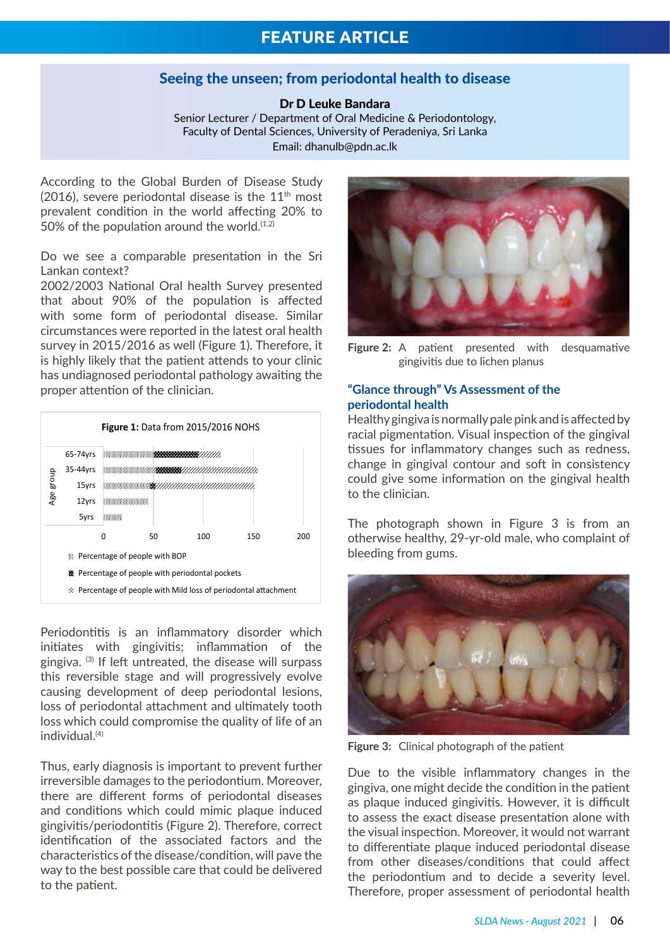## Seeing the unseen; from periodontal health to disease

#### Dr D Leuke Bandara

Senior Lecturer / Department of Oral Medicine & Periodontology, Faculty of Dental Sciences, University of Peradeniya, Sri Lanka Email: dhanulb@pdn.ac.lk

According to the Global Burden of Disease Study (2016), severe periodontal disease is the  $11<sup>th</sup>$  most prevalent condition in the world affecting 20% to 50% of the population around the world. $(1,2)$ 

Do we see a comparable presentation in the Sri Lankan context?

2002/2003 National Oral health Survey presented that about 90% of the population is affected with some form of periodontal disease. Similar circumstances were reported in the latest oral health survey in 2015/2016 as well (Figure 1). Therefore, it is highly likely that the patient attends to your clinic has undiagnosed periodontal pathology awaiting the proper attention of the clinician.

![](_page_5_Figure_7.jpeg)

Periodontitis is an inflammatory disorder which initiates with gingivitis; inflammation of the gingiva. (3) If left untreated, the disease will surpass this reversible stage and will progressively evolve causing development of deep periodontal lesions, loss of periodontal attachment and ultimately tooth loss which could compromise the quality of life of an individual.(4)

Thus, early diagnosis is important to prevent further irreversible damages to the periodontium. Moreover, there are different forms of periodontal diseases and conditions which could mimic plaque induced gingivitis/periodontitis (Figure 2). Therefore, correct identification of the associated factors and the characteristics of the disease/condition, will pave the way to the best possible care that could be delivered to the patient.

![](_page_5_Picture_10.jpeg)

**Figure 2:** A patient presented with desquamative gingivitis due to lichen planus

### **"Glance through" Vs Assessment of the periodontal health**

Healthy gingiva is normally pale pink and is affected by racial pigmentation. Visual inspection of the gingival tissues for inflammatory changes such as redness, change in gingival contour and soft in consistency could give some information on the gingival health to the clinician.

The photograph shown in Figure 3 is from an otherwise healthy, 29-yr-old male, who complaint of bleeding from gums.

![](_page_5_Picture_15.jpeg)

**Figure 3:** Clinical photograph of the patient

Due to the visible inflammatory changes in the gingiva, one might decide the condition in the patient as plaque induced gingivitis. However, it is difficult to assess the exact disease presentation alone with the visual inspection. Moreover, it would not warrant to differentiate plaque induced periodontal disease from other diseases/conditions that could affect the periodontium and to decide a severity level. Therefore, proper assessment of periodontal health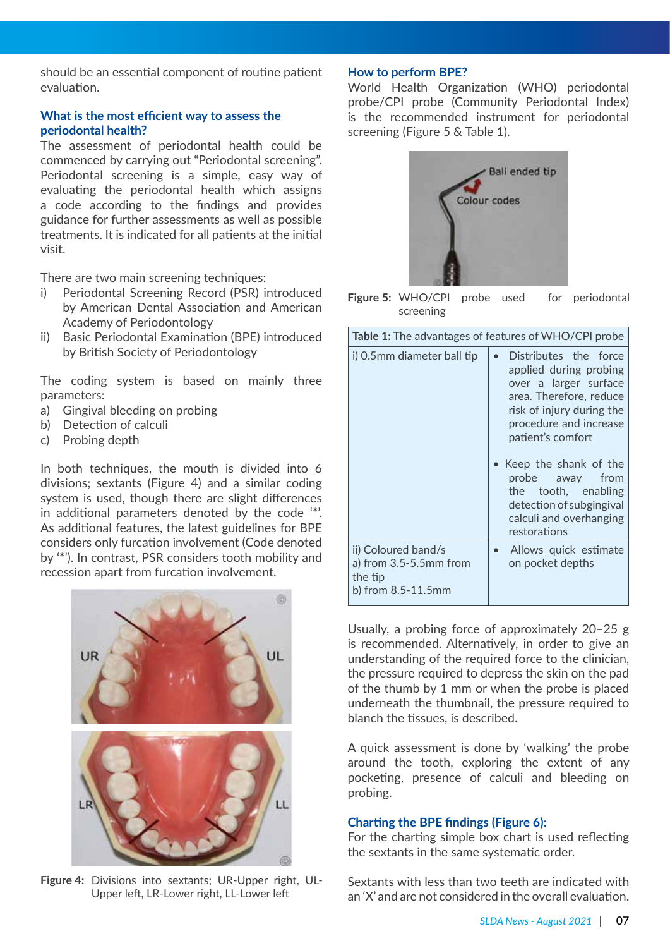should be an essential component of routine patient evaluation.

#### **What is the most efficient way to assess the periodontal health?**

The assessment of periodontal health could be commenced by carrying out "Periodontal screening". Periodontal screening is a simple, easy way of evaluating the periodontal health which assigns a code according to the findings and provides guidance for further assessments as well as possible treatments. It is indicated for all patients at the initial visit.

There are two main screening techniques:

- i) Periodontal Screening Record (PSR) introduced by American Dental Association and American Academy of Periodontology
- ii) Basic Periodontal Examination (BPE) introduced by British Society of Periodontology

The coding system is based on mainly three parameters:

- a) Gingival bleeding on probing
- b) Detection of calculi
- c) Probing depth

In both techniques, the mouth is divided into 6 divisions; sextants (Figure 4) and a similar coding system is used, though there are slight differences in additional parameters denoted by the code '\*'. As additional features, the latest guidelines for BPE considers only furcation involvement (Code denoted by '\*'). In contrast, PSR considers tooth mobility and recession apart from furcation involvement.

![](_page_6_Picture_11.jpeg)

**Figure 4:** Divisions into sextants; UR-Upper right, UL-Upper left, LR-Lower right, LL-Lower left

#### **How to perform BPE?**

World Health Organization (WHO) periodontal probe/CPI probe (Community Periodontal Index) is the recommended instrument for periodontal screening (Figure 5 & Table 1).

![](_page_6_Picture_15.jpeg)

**Figure 5:** WHO/CPI probe used for periodontal screening

| <b>Table 1:</b> The advantages of features of WHO/CPI probe                         |                                                                                                                                                                                 |  |  |
|-------------------------------------------------------------------------------------|---------------------------------------------------------------------------------------------------------------------------------------------------------------------------------|--|--|
| i) 0.5mm diameter ball tip                                                          | Distributes the force<br>applied during probing<br>over a larger surface<br>area. Therefore, reduce<br>risk of injury during the<br>procedure and increase<br>patient's comfort |  |  |
|                                                                                     | • Keep the shank of the<br>probe away from<br>the tooth, enabling<br>detection of subgingival<br>calculi and overhanging<br>restorations                                        |  |  |
| ii) Coloured band/s<br>a) from $3.5 - 5.5$ mm from<br>the tip<br>b) from 8.5-11.5mm | Allows quick estimate<br>$\bullet$<br>on pocket depths                                                                                                                          |  |  |

Usually, a probing force of approximately 20–25 g is recommended. Alternatively, in order to give an understanding of the required force to the clinician, the pressure required to depress the skin on the pad of the thumb by 1 mm or when the probe is placed underneath the thumbnail, the pressure required to blanch the tissues, is described.

A quick assessment is done by 'walking' the probe around the tooth, exploring the extent of any pocketing, presence of calculi and bleeding on probing.

#### **Charting the BPE findings (Figure 6):**

For the charting simple box chart is used reflecting the sextants in the same systematic order.

Sextants with less than two teeth are indicated with an 'X' and are not considered in the overall evaluation.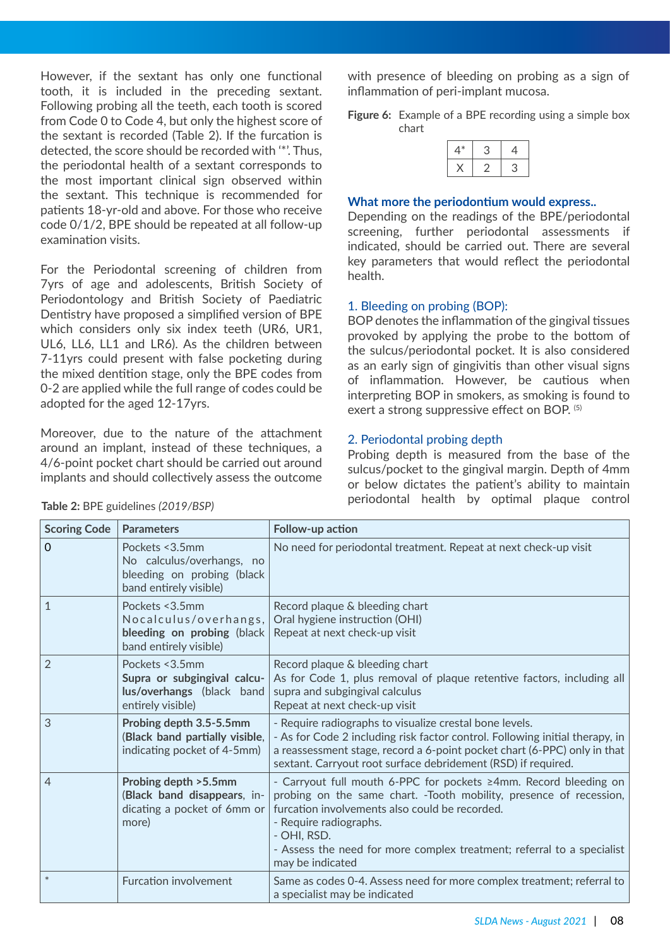However, if the sextant has only one functional tooth, it is included in the preceding sextant. Following probing all the teeth, each tooth is scored from Code 0 to Code 4, but only the highest score of the sextant is recorded (Table 2). If the furcation is detected, the score should be recorded with '\*'. Thus, the periodontal health of a sextant corresponds to the most important clinical sign observed within the sextant. This technique is recommended for patients 18-yr-old and above. For those who receive code 0/1/2, BPE should be repeated at all follow-up examination visits.

For the Periodontal screening of children from 7yrs of age and adolescents, British Society of Periodontology and British Society of Paediatric Dentistry have proposed a simplified version of BPE which considers only six index teeth (UR6, UR1, UL6, LL6, LL1 and LR6). As the children between 7-11yrs could present with false pocketing during the mixed dentition stage, only the BPE codes from 0-2 are applied while the full range of codes could be adopted for the aged 12-17yrs.

Moreover, due to the nature of the attachment around an implant, instead of these techniques, a 4/6-point pocket chart should be carried out around implants and should collectively assess the outcome with presence of bleeding on probing as a sign of inflammation of peri-implant mucosa.

**Figure 6:** Example of a BPE recording using a simple box chart

#### **What more the periodontium would express..**

Depending on the readings of the BPE/periodontal screening, further periodontal assessments if indicated, should be carried out. There are several key parameters that would reflect the periodontal health.

#### 1. Bleeding on probing (BOP):

BOP denotes the inflammation of the gingival tissues provoked by applying the probe to the bottom of the sulcus/periodontal pocket. It is also considered as an early sign of gingivitis than other visual signs of inflammation. However, be cautious when interpreting BOP in smokers, as smoking is found to exert a strong suppressive effect on BOP. (5)

#### 2. Periodontal probing depth

Probing depth is measured from the base of the sulcus/pocket to the gingival margin. Depth of 4mm or below dictates the patient's ability to maintain periodontal health by optimal plaque control

| <b>Scoring Code</b> | <b>Parameters</b>                                                                                    | Follow-up action                                                                                                                                                                                                                                                                                                                |
|---------------------|------------------------------------------------------------------------------------------------------|---------------------------------------------------------------------------------------------------------------------------------------------------------------------------------------------------------------------------------------------------------------------------------------------------------------------------------|
| $\mathbf 0$         | Pockets < 3.5mm<br>No calculus/overhangs, no<br>bleeding on probing (black<br>band entirely visible) | No need for periodontal treatment. Repeat at next check-up visit                                                                                                                                                                                                                                                                |
| $\mathbf{1}$        | Pockets < 3.5mm<br>Nocalculus/overhangs,<br>bleeding on probing (black<br>band entirely visible)     | Record plaque & bleeding chart<br>Oral hygiene instruction (OHI)<br>Repeat at next check-up visit                                                                                                                                                                                                                               |
| $\overline{2}$      | Pockets < 3.5mm<br>Supra or subgingival calcu-<br>lus/overhangs (black band<br>entirely visible)     | Record plaque & bleeding chart<br>As for Code 1, plus removal of plaque retentive factors, including all<br>supra and subgingival calculus<br>Repeat at next check-up visit                                                                                                                                                     |
| 3                   | Probing depth 3.5-5.5mm<br>(Black band partially visible,<br>indicating pocket of 4-5mm)             | - Require radiographs to visualize crestal bone levels.<br>- As for Code 2 including risk factor control. Following initial therapy, in<br>a reassessment stage, record a 6-point pocket chart (6-PPC) only in that<br>sextant. Carryout root surface debridement (RSD) if required.                                            |
| $\overline{4}$      | Probing depth > 5.5mm<br>(Black band disappears, in-<br>dicating a pocket of 6mm or<br>more)         | - Carryout full mouth 6-PPC for pockets ≥4mm. Record bleeding on<br>probing on the same chart. -Tooth mobility, presence of recession,<br>furcation involvements also could be recorded.<br>- Require radiographs.<br>- OHI, RSD.<br>- Assess the need for more complex treatment; referral to a specialist<br>may be indicated |
| $\ast$              | <b>Furcation involvement</b>                                                                         | Same as codes 0-4. Assess need for more complex treatment; referral to<br>a specialist may be indicated                                                                                                                                                                                                                         |

#### **Table 2:** BPE guidelines *(2019/BSP)*